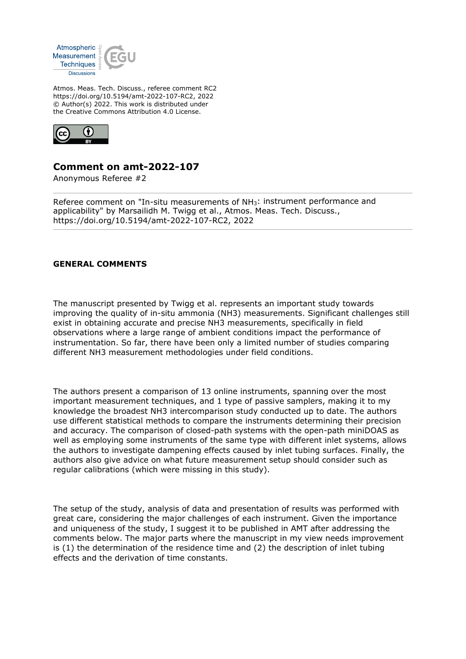

Atmos. Meas. Tech. Discuss., referee comment RC2 https://doi.org/10.5194/amt-2022-107-RC2, 2022 © Author(s) 2022. This work is distributed under the Creative Commons Attribution 4.0 License.



# **Comment on amt-2022-107**

Anonymous Referee #2

Referee comment on "In-situ measurements of NH3: instrument performance and applicability" by Marsailidh M. Twigg et al., Atmos. Meas. Tech. Discuss., https://doi.org/10.5194/amt-2022-107-RC2, 2022

## **GENERAL COMMENTS**

The manuscript presented by Twigg et al. represents an important study towards improving the quality of in-situ ammonia (NH3) measurements. Significant challenges still exist in obtaining accurate and precise NH3 measurements, specifically in field observations where a large range of ambient conditions impact the performance of instrumentation. So far, there have been only a limited number of studies comparing different NH3 measurement methodologies under field conditions.

The authors present a comparison of 13 online instruments, spanning over the most important measurement techniques, and 1 type of passive samplers, making it to my knowledge the broadest NH3 intercomparison study conducted up to date. The authors use different statistical methods to compare the instruments determining their precision and accuracy. The comparison of closed-path systems with the open-path miniDOAS as well as employing some instruments of the same type with different inlet systems, allows the authors to investigate dampening effects caused by inlet tubing surfaces. Finally, the authors also give advice on what future measurement setup should consider such as regular calibrations (which were missing in this study).

The setup of the study, analysis of data and presentation of results was performed with great care, considering the major challenges of each instrument. Given the importance and uniqueness of the study, I suggest it to be published in AMT after addressing the comments below. The major parts where the manuscript in my view needs improvement is (1) the determination of the residence time and (2) the description of inlet tubing effects and the derivation of time constants.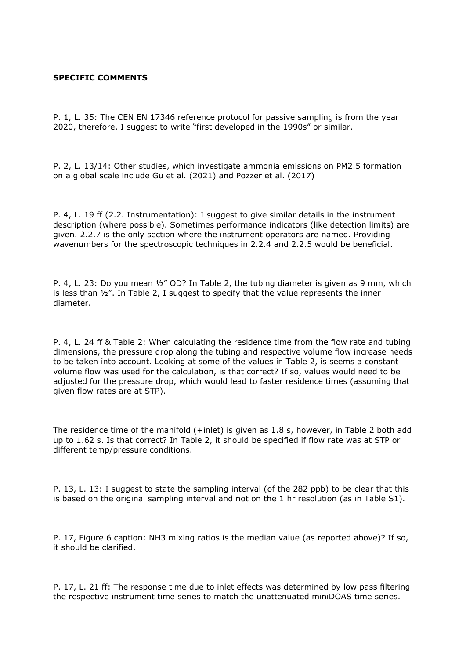### **SPECIFIC COMMENTS**

P. 1, L. 35: The CEN EN 17346 reference protocol for passive sampling is from the year 2020, therefore, I suggest to write "first developed in the 1990s" or similar.

P. 2, L. 13/14: Other studies, which investigate ammonia emissions on PM2.5 formation on a global scale include Gu et al. (2021) and Pozzer et al. (2017)

P. 4, L. 19 ff (2.2. Instrumentation): I suggest to give similar details in the instrument description (where possible). Sometimes performance indicators (like detection limits) are given. 2.2.7 is the only section where the instrument operators are named. Providing wavenumbers for the spectroscopic techniques in 2.2.4 and 2.2.5 would be beneficial.

P. 4, L. 23: Do you mean  $\frac{1}{2}$ " OD? In Table 2, the tubing diameter is given as 9 mm, which is less than ½". In Table 2, I suggest to specify that the value represents the inner diameter.

P. 4, L. 24 ff & Table 2: When calculating the residence time from the flow rate and tubing dimensions, the pressure drop along the tubing and respective volume flow increase needs to be taken into account. Looking at some of the values in Table 2, is seems a constant volume flow was used for the calculation, is that correct? If so, values would need to be adjusted for the pressure drop, which would lead to faster residence times (assuming that given flow rates are at STP).

The residence time of the manifold (+inlet) is given as 1.8 s, however, in Table 2 both add up to 1.62 s. Is that correct? In Table 2, it should be specified if flow rate was at STP or different temp/pressure conditions.

P. 13, L. 13: I suggest to state the sampling interval (of the 282 ppb) to be clear that this is based on the original sampling interval and not on the 1 hr resolution (as in Table S1).

P. 17, Figure 6 caption: NH3 mixing ratios is the median value (as reported above)? If so, it should be clarified.

P. 17, L. 21 ff: The response time due to inlet effects was determined by low pass filtering the respective instrument time series to match the unattenuated miniDOAS time series.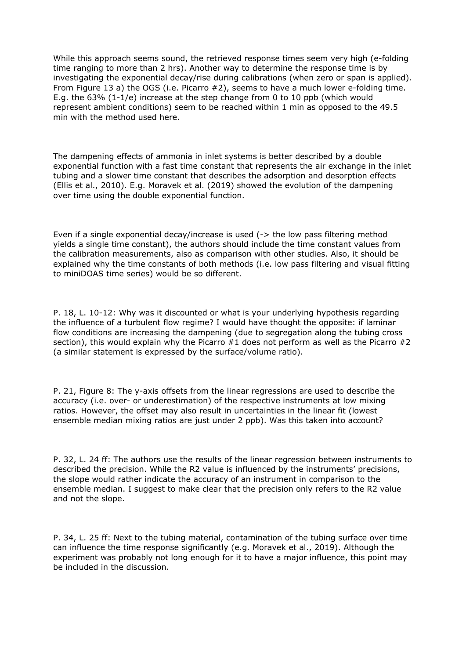While this approach seems sound, the retrieved response times seem very high (e-folding time ranging to more than 2 hrs). Another way to determine the response time is by investigating the exponential decay/rise during calibrations (when zero or span is applied). From Figure 13 a) the OGS (i.e. Picarro #2), seems to have a much lower e-folding time. E.g. the 63% (1-1/e) increase at the step change from 0 to 10 ppb (which would represent ambient conditions) seem to be reached within 1 min as opposed to the 49.5 min with the method used here.

The dampening effects of ammonia in inlet systems is better described by a double exponential function with a fast time constant that represents the air exchange in the inlet tubing and a slower time constant that describes the adsorption and desorption effects (Ellis et al., 2010). E.g. Moravek et al. (2019) showed the evolution of the dampening over time using the double exponential function.

Even if a single exponential decay/increase is used (-> the low pass filtering method yields a single time constant), the authors should include the time constant values from the calibration measurements, also as comparison with other studies. Also, it should be explained why the time constants of both methods (i.e. low pass filtering and visual fitting to miniDOAS time series) would be so different.

P. 18, L. 10-12: Why was it discounted or what is your underlying hypothesis regarding the influence of a turbulent flow regime? I would have thought the opposite: if laminar flow conditions are increasing the dampening (due to segregation along the tubing cross section), this would explain why the Picarro  $#1$  does not perform as well as the Picarro  $#2$ (a similar statement is expressed by the surface/volume ratio).

P. 21, Figure 8: The y-axis offsets from the linear regressions are used to describe the accuracy (i.e. over- or underestimation) of the respective instruments at low mixing ratios. However, the offset may also result in uncertainties in the linear fit (lowest ensemble median mixing ratios are just under 2 ppb). Was this taken into account?

P. 32, L. 24 ff: The authors use the results of the linear regression between instruments to described the precision. While the R2 value is influenced by the instruments' precisions, the slope would rather indicate the accuracy of an instrument in comparison to the ensemble median. I suggest to make clear that the precision only refers to the R2 value and not the slope.

P. 34, L. 25 ff: Next to the tubing material, contamination of the tubing surface over time can influence the time response significantly (e.g. Moravek et al., 2019). Although the experiment was probably not long enough for it to have a major influence, this point may be included in the discussion.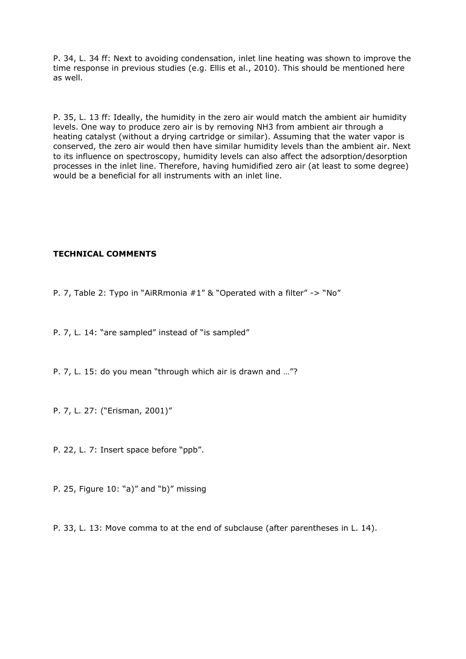P. 34, L. 34 ff: Next to avoiding condensation, inlet line heating was shown to improve the time response in previous studies (e.g. Ellis et al., 2010). This should be mentioned here as well.

P. 35, L. 13 ff: Ideally, the humidity in the zero air would match the ambient air humidity levels. One way to produce zero air is by removing NH3 from ambient air through a heating catalyst (without a drying cartridge or similar). Assuming that the water vapor is conserved, the zero air would then have similar humidity levels than the ambient air. Next to its influence on spectroscopy, humidity levels can also affect the adsorption/desorption processes in the inlet line. Therefore, having humidified zero air (at least to some degree) would be a beneficial for all instruments with an inlet line.

## **TECHNICAL COMMENTS**

P. 7, Table 2: Typo in "AiRRmonia #1" & "Operated with a filter" -> "No"

P. 7, L. 14: "are sampled" instead of "is sampled"

P. 7, L. 15: do you mean "through which air is drawn and …"?

P. 7, L. 27: ("Erisman, 2001)"

P. 22, L. 7: Insert space before "ppb".

P. 25, Figure 10: "a)" and "b)" missing

P. 33, L. 13: Move comma to at the end of subclause (after parentheses in L. 14).